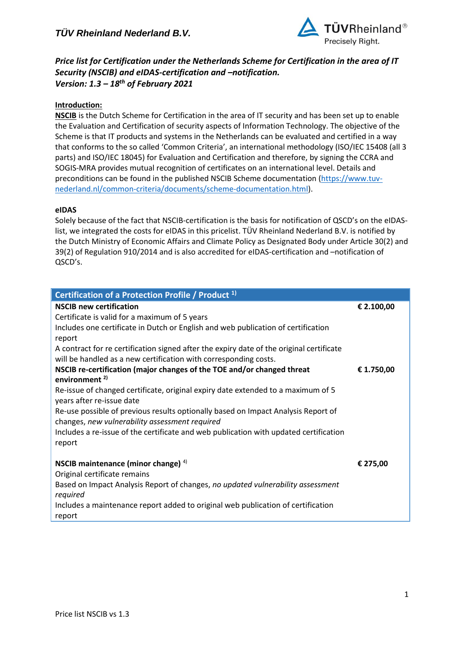

*Price list for Certification under the Netherlands Scheme for Certification in the area of IT Security (NSCIB) and eIDAS-certification and –notification. Version: 1.3 – 18 th of February 2021*

# **Introduction:**

**NSCIB** is the Dutch Scheme for Certification in the area of IT security and has been set up to enable the Evaluation and Certification of security aspects of Information Technology. The objective of the Scheme is that IT products and systems in the Netherlands can be evaluated and certified in a way that conforms to the so called 'Common Criteria', an international methodology (ISO/IEC 15408 (all 3 parts) and ISO/IEC 18045) for Evaluation and Certification and therefore, by signing the CCRA and SOGIS-MRA provides mutual recognition of certificates on an international level. Details and preconditions can be found in the published NSCIB Scheme documentation [\(https://www.tuv](https://www.tuv-nederland.nl/common-criteria/documents/scheme-documentation.html)[nederland.nl/common-criteria/documents/scheme-documentation.html\)](https://www.tuv-nederland.nl/common-criteria/documents/scheme-documentation.html).

## **eIDAS**

Solely because of the fact that NSCIB-certification is the basis for notification of QSCD's on the eIDASlist, we integrated the costs for eIDAS in this pricelist. TÜV Rheinland Nederland B.V. is notified by the Dutch Ministry of Economic Affairs and Climate Policy as Designated Body under Article 30(2) and 39(2) of Regulation 910/2014 and is also accredited for eIDAS-certification and –notification of QSCD's.

| Certification of a Protection Profile / Product <sup>1)</sup>                                                 |            |
|---------------------------------------------------------------------------------------------------------------|------------|
| <b>NSCIB new certification</b>                                                                                | € 2.100,00 |
| Certificate is valid for a maximum of 5 years                                                                 |            |
| Includes one certificate in Dutch or English and web publication of certification                             |            |
| report                                                                                                        |            |
| A contract for re certification signed after the expiry date of the original certificate                      |            |
| will be handled as a new certification with corresponding costs.                                              |            |
| NSCIB re-certification (major changes of the TOE and/or changed threat<br>environment $^{2)}$                 | € 1.750,00 |
|                                                                                                               |            |
| Re-issue of changed certificate, original expiry date extended to a maximum of 5<br>years after re-issue date |            |
| Re-use possible of previous results optionally based on Impact Analysis Report of                             |            |
| changes, new vulnerability assessment required                                                                |            |
| Includes a re-issue of the certificate and web publication with updated certification                         |            |
| report                                                                                                        |            |
| NSCIB maintenance (minor change) $4$ )                                                                        | € 275,00   |
| Original certificate remains                                                                                  |            |
| Based on Impact Analysis Report of changes, no updated vulnerability assessment<br>required                   |            |
| Includes a maintenance report added to original web publication of certification<br>report                    |            |